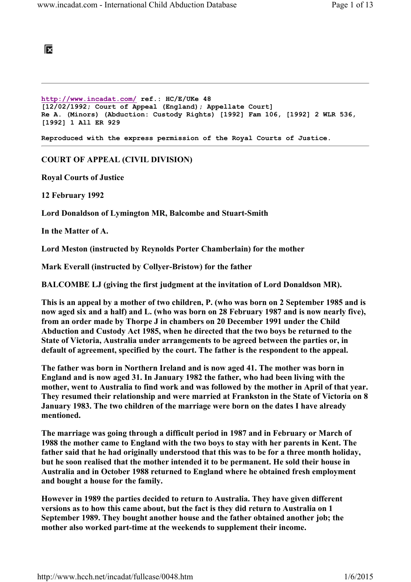

http://www.incadat.com/ ref.: HC/E/UKe 48 [12/02/1992; Court of Appeal (England); Appellate Court] Re A. (Minors) (Abduction: Custody Rights) [1992] Fam 106, [1992] 2 WLR 536, [1992] 1 All ER 929

Reproduced with the express permission of the Royal Courts of Justice.

#### COURT OF APPEAL (CIVIL DIVISION)

Royal Courts of Justice

12 February 1992

Lord Donaldson of Lymington MR, Balcombe and Stuart-Smith

In the Matter of A.

Lord Meston (instructed by Reynolds Porter Chamberlain) for the mother

Mark Everall (instructed by Collyer-Bristow) for the father

BALCOMBE LJ (giving the first judgment at the invitation of Lord Donaldson MR).

This is an appeal by a mother of two children, P. (who was born on 2 September 1985 and is now aged six and a half) and L. (who was born on 28 February 1987 and is now nearly five), from an order made by Thorpe J in chambers on 20 December 1991 under the Child Abduction and Custody Act 1985, when he directed that the two boys be returned to the State of Victoria, Australia under arrangements to be agreed between the parties or, in default of agreement, specified by the court. The father is the respondent to the appeal.

The father was born in Northern Ireland and is now aged 41. The mother was born in England and is now aged 31. In January 1982 the father, who had been living with the mother, went to Australia to find work and was followed by the mother in April of that year. They resumed their relationship and were married at Frankston in the State of Victoria on 8 January 1983. The two children of the marriage were born on the dates I have already mentioned.

The marriage was going through a difficult period in 1987 and in February or March of 1988 the mother came to England with the two boys to stay with her parents in Kent. The father said that he had originally understood that this was to be for a three month holiday, but he soon realised that the mother intended it to be permanent. He sold their house in Australia and in October 1988 returned to England where he obtained fresh employment and bought a house for the family.

However in 1989 the parties decided to return to Australia. They have given different versions as to how this came about, but the fact is they did return to Australia on 1 September 1989. They bought another house and the father obtained another job; the mother also worked part-time at the weekends to supplement their income.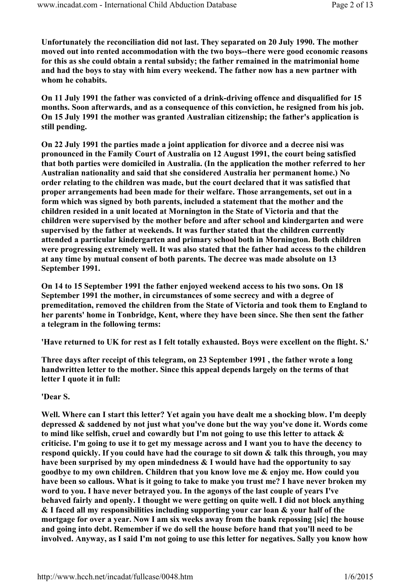Unfortunately the reconciliation did not last. They separated on 20 July 1990. The mother moved out into rented accommodation with the two boys--there were good economic reasons for this as she could obtain a rental subsidy; the father remained in the matrimonial home and had the boys to stay with him every weekend. The father now has a new partner with whom he cohabits.

On 11 July 1991 the father was convicted of a drink-driving offence and disqualified for 15 months. Soon afterwards, and as a consequence of this conviction, he resigned from his job. On 15 July 1991 the mother was granted Australian citizenship; the father's application is still pending.

On 22 July 1991 the parties made a joint application for divorce and a decree nisi was pronounced in the Family Court of Australia on 12 August 1991, the court being satisfied that both parties were domiciled in Australia. (In the application the mother referred to her Australian nationality and said that she considered Australia her permanent home.) No order relating to the children was made, but the court declared that it was satisfied that proper arrangements had been made for their welfare. Those arrangements, set out in a form which was signed by both parents, included a statement that the mother and the children resided in a unit located at Mornington in the State of Victoria and that the children were supervised by the mother before and after school and kindergarten and were supervised by the father at weekends. It was further stated that the children currently attended a particular kindergarten and primary school both in Mornington. Both children were progressing extremely well. It was also stated that the father had access to the children at any time by mutual consent of both parents. The decree was made absolute on 13 September 1991.

On 14 to 15 September 1991 the father enjoyed weekend access to his two sons. On 18 September 1991 the mother, in circumstances of some secrecy and with a degree of premeditation, removed the children from the State of Victoria and took them to England to her parents' home in Tonbridge, Kent, where they have been since. She then sent the father a telegram in the following terms:

'Have returned to UK for rest as I felt totally exhausted. Boys were excellent on the flight. S.'

Three days after receipt of this telegram, on 23 September 1991 , the father wrote a long handwritten letter to the mother. Since this appeal depends largely on the terms of that letter I quote it in full:

'Dear S.

Well. Where can I start this letter? Yet again you have dealt me a shocking blow. I'm deeply depressed & saddened by not just what you've done but the way you've done it. Words come to mind like selfish, cruel and cowardly but I'm not going to use this letter to attack & criticise. I'm going to use it to get my message across and I want you to have the decency to respond quickly. If you could have had the courage to sit down & talk this through, you may have been surprised by my open mindedness & I would have had the opportunity to say goodbye to my own children. Children that you know love me & enjoy me. How could you have been so callous. What is it going to take to make you trust me? I have never broken my word to you. I have never betrayed you. In the agonys of the last couple of years I've behaved fairly and openly. I thought we were getting on quite well. I did not block anything & I faced all my responsibilities including supporting your car loan & your half of the mortgage for over a year. Now I am six weeks away from the bank repossing [sic] the house and going into debt. Remember if we do sell the house before hand that you'll need to be involved. Anyway, as I said I'm not going to use this letter for negatives. Sally you know how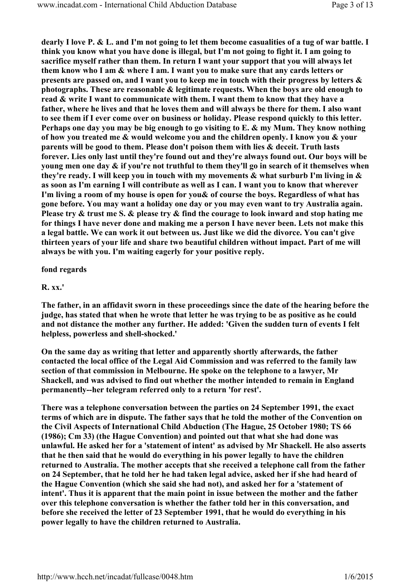dearly I love P. & L. and I'm not going to let them become casualities of a tug of war battle. I think you know what you have done is illegal, but I'm not going to fight it. I am going to sacrifice myself rather than them. In return I want your support that you will always let them know who I am & where I am. I want you to make sure that any cards letters or presents are passed on, and I want you to keep me in touch with their progress by letters & photographs. These are reasonable & legitimate requests. When the boys are old enough to read & write I want to communicate with them. I want them to know that they have a father, where he lives and that he loves them and will always be there for them. I also want to see them if I ever come over on business or holiday. Please respond quickly to this letter. Perhaps one day you may be big enough to go visiting to E.  $\&$  my Mum. They know nothing of how you treated me & would welcome you and the children openly. I know you & your parents will be good to them. Please don't poison them with lies & deceit. Truth lasts forever. Lies only last until they're found out and they're always found out. Our boys will be young men one day & if you're not truthful to them they'll go in search of it themselves when they're ready. I will keep you in touch with my movements & what surburb I'm living in & as soon as I'm earning I will contribute as well as I can. I want you to know that wherever I'm living a room of my house is open for you& of course the boys. Regardless of what has gone before. You may want a holiday one day or you may even want to try Australia again. Please try & trust me S. & please try & find the courage to look inward and stop hating me for things I have never done and making me a person I have never been. Lets not make this a legal battle. We can work it out between us. Just like we did the divorce. You can't give thirteen years of your life and share two beautiful children without impact. Part of me will always be with you. I'm waiting eagerly for your positive reply.

#### fond regards

## R. xx.'

The father, in an affidavit sworn in these proceedings since the date of the hearing before the judge, has stated that when he wrote that letter he was trying to be as positive as he could and not distance the mother any further. He added: 'Given the sudden turn of events I felt helpless, powerless and shell-shocked.'

On the same day as writing that letter and apparently shortly afterwards, the father contacted the local office of the Legal Aid Commission and was referred to the family law section of that commission in Melbourne. He spoke on the telephone to a lawyer, Mr Shackell, and was advised to find out whether the mother intended to remain in England permanently--her telegram referred only to a return 'for rest'.

There was a telephone conversation between the parties on 24 September 1991, the exact terms of which are in dispute. The father says that he told the mother of the Convention on the Civil Aspects of International Child Abduction (The Hague, 25 October 1980; TS 66 (1986); Cm 33) (the Hague Convention) and pointed out that what she had done was unlawful. He asked her for a 'statement of intent' as advised by Mr Shackell. He also asserts that he then said that he would do everything in his power legally to have the children returned to Australia. The mother accepts that she received a telephone call from the father on 24 September, that he told her he had taken legal advice, asked her if she had heard of the Hague Convention (which she said she had not), and asked her for a 'statement of intent'. Thus it is apparent that the main point in issue between the mother and the father over this telephone conversation is whether the father told her in this conversation, and before she received the letter of 23 September 1991, that he would do everything in his power legally to have the children returned to Australia.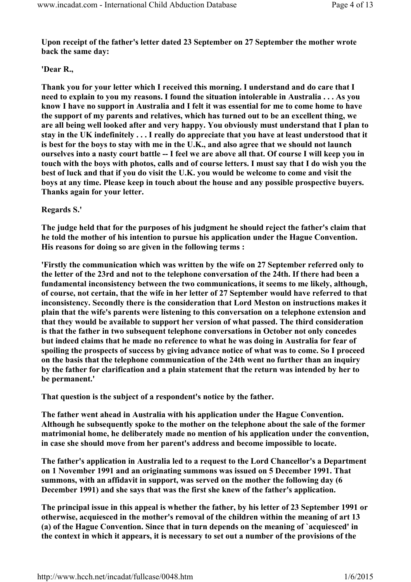Upon receipt of the father's letter dated 23 September on 27 September the mother wrote back the same day:

## 'Dear R.,

Thank you for your letter which I received this morning. I understand and do care that I need to explain to you my reasons. I found the situation intolerable in Australia . . . As you know I have no support in Australia and I felt it was essential for me to come home to have the support of my parents and relatives, which has turned out to be an excellent thing, we are all being well looked after and very happy. You obviously must understand that I plan to stay in the UK indefinitely . . . I really do appreciate that you have at least understood that it is best for the boys to stay with me in the U.K., and also agree that we should not launch ourselves into a nasty court battle -- I feel we are above all that. Of course I will keep you in touch with the boys with photos, calls and of course letters. I must say that I do wish you the best of luck and that if you do visit the U.K. you would be welcome to come and visit the boys at any time. Please keep in touch about the house and any possible prospective buyers. Thanks again for your letter.

#### Regards S.'

The judge held that for the purposes of his judgment he should reject the father's claim that he told the mother of his intention to pursue his application under the Hague Convention. His reasons for doing so are given in the following terms :

'Firstly the communication which was written by the wife on 27 September referred only to the letter of the 23rd and not to the telephone conversation of the 24th. If there had been a fundamental inconsistency between the two communications, it seems to me likely, although, of course, not certain, that the wife in her letter of 27 September would have referred to that inconsistency. Secondly there is the consideration that Lord Meston on instructions makes it plain that the wife's parents were listening to this conversation on a telephone extension and that they would be available to support her version of what passed. The third consideration is that the father in two subsequent telephone conversations in October not only concedes but indeed claims that he made no reference to what he was doing in Australia for fear of spoiling the prospects of success by giving advance notice of what was to come. So I proceed on the basis that the telephone communication of the 24th went no further than an inquiry by the father for clarification and a plain statement that the return was intended by her to be permanent.'

That question is the subject of a respondent's notice by the father.

The father went ahead in Australia with his application under the Hague Convention. Although he subsequently spoke to the mother on the telephone about the sale of the former matrimonial home, he deliberately made no mention of his application under the convention, in case she should move from her parent's address and become impossible to locate.

The father's application in Australia led to a request to the Lord Chancellor's a Department on 1 November 1991 and an originating summons was issued on 5 December 1991. That summons, with an affidavit in support, was served on the mother the following day (6 December 1991) and she says that was the first she knew of the father's application.

The principal issue in this appeal is whether the father, by his letter of 23 September 1991 or otherwise, acquiesced in the mother's removal of the children within the meaning of art 13 (a) of the Hague Convention. Since that in turn depends on the meaning of `acquiesced' in the context in which it appears, it is necessary to set out a number of the provisions of the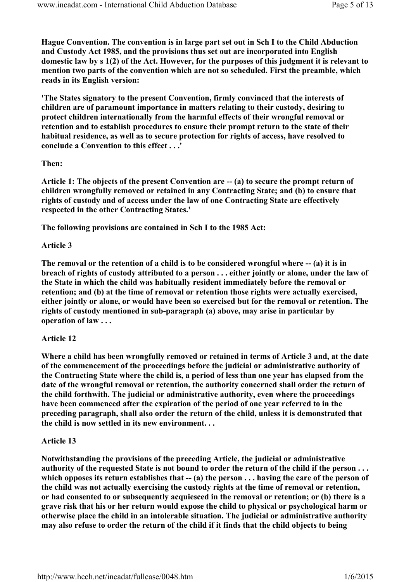Hague Convention. The convention is in large part set out in Sch I to the Child Abduction and Custody Act 1985, and the provisions thus set out are incorporated into English domestic law by s 1(2) of the Act. However, for the purposes of this judgment it is relevant to mention two parts of the convention which are not so scheduled. First the preamble, which reads in its English version:

'The States signatory to the present Convention, firmly convinced that the interests of children are of paramount importance in matters relating to their custody, desiring to protect children internationally from the harmful effects of their wrongful removal or retention and to establish procedures to ensure their prompt return to the state of their habitual residence, as well as to secure protection for rights of access, have resolved to conclude a Convention to this effect . . .'

## Then:

Article 1: The objects of the present Convention are -- (a) to secure the prompt return of children wrongfully removed or retained in any Contracting State; and (b) to ensure that rights of custody and of access under the law of one Contracting State are effectively respected in the other Contracting States.'

The following provisions are contained in Sch I to the 1985 Act:

## Article 3

The removal or the retention of a child is to be considered wrongful where -- (a) it is in breach of rights of custody attributed to a person . . . either jointly or alone, under the law of the State in which the child was habitually resident immediately before the removal or retention; and (b) at the time of removal or retention those rights were actually exercised, either jointly or alone, or would have been so exercised but for the removal or retention. The rights of custody mentioned in sub-paragraph (a) above, may arise in particular by operation of law . . .

## Article 12

Where a child has been wrongfully removed or retained in terms of Article 3 and, at the date of the commencement of the proceedings before the judicial or administrative authority of the Contracting State where the child is, a period of less than one year has elapsed from the date of the wrongful removal or retention, the authority concerned shall order the return of the child forthwith. The judicial or administrative authority, even where the proceedings have been commenced after the expiration of the period of one year referred to in the preceding paragraph, shall also order the return of the child, unless it is demonstrated that the child is now settled in its new environment. . .

## Article 13

Notwithstanding the provisions of the preceding Article, the judicial or administrative authority of the requested State is not bound to order the return of the child if the person . . . which opposes its return establishes that  $-$  (a) the person  $\ldots$  having the care of the person of the child was not actually exercising the custody rights at the time of removal or retention, or had consented to or subsequently acquiesced in the removal or retention; or (b) there is a grave risk that his or her return would expose the child to physical or psychological harm or otherwise place the child in an intolerable situation. The judicial or administrative authority may also refuse to order the return of the child if it finds that the child objects to being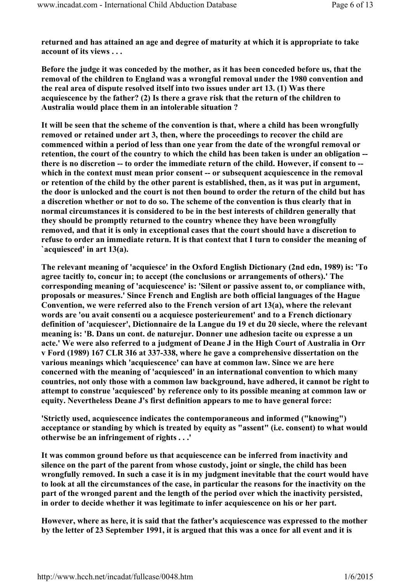returned and has attained an age and degree of maturity at which it is appropriate to take account of its views . . .

Before the judge it was conceded by the mother, as it has been conceded before us, that the removal of the children to England was a wrongful removal under the 1980 convention and the real area of dispute resolved itself into two issues under art 13. (1) Was there acquiescence by the father? (2) Is there a grave risk that the return of the children to Australia would place them in an intolerable situation ?

It will be seen that the scheme of the convention is that, where a child has been wrongfully removed or retained under art 3, then, where the proceedings to recover the child are commenced within a period of less than one year from the date of the wrongful removal or retention, the court of the country to which the child has been taken is under an obligation - there is no discretion -- to order the immediate return of the child. However, if consent to - which in the context must mean prior consent -- or subsequent acquiescence in the removal or retention of the child by the other parent is established, then, as it was put in argument, the door is unlocked and the court is not then bound to order the return of the child but has a discretion whether or not to do so. The scheme of the convention is thus clearly that in normal circumstances it is considered to be in the best interests of children generally that they should be promptly returned to the country whence they have been wrongfully removed, and that it is only in exceptional cases that the court should have a discretion to refuse to order an immediate return. It is that context that I turn to consider the meaning of `acquiesced' in art 13(a).

The relevant meaning of 'acquiesce' in the Oxford English Dictionary (2nd edn, 1989) is: 'To agree tacitly to, concur in; to accept (the conclusions or arrangements of others).' The corresponding meaning of 'acquiescence' is: 'Silent or passive assent to, or compliance with, proposals or measures.' Since French and English are both official languages of the Hague Convention, we were referred also to the French version of art 13(a), where the relevant words are 'ou avait consenti ou a acquiesce posterieurement' and to a French dictionary definition of 'acquiescer', Dictionnaire de la Langue du 19 et du 20 siecle, where the relevant meaning is: 'B. Dans un cont. de naturejur. Donner une adhesion tacite ou expresse a un acte.' We were also referred to a judgment of Deane J in the High Court of Australia in Orr v Ford (1989) 167 CLR 3I6 at 337-338, where he gave a comprehensive dissertation on the various meanings which 'acquiescence' can have at common law. Since we are here concerned with the meaning of 'acquiesced' in an international convention to which many countries, not only those with a common law background, have adhered, it cannot be right to attempt to construe 'acquiesced' by reference only to its possible meaning at common law or equity. Nevertheless Deane J's first definition appears to me to have general force:

'Strictly used, acquiescence indicates the contemporaneous and informed ("knowing") acceptance or standing by which is treated by equity as "assent" (i.e. consent) to what would otherwise be an infringement of rights . . .'

It was common ground before us that acquiescence can be inferred from inactivity and silence on the part of the parent from whose custody, joint or single, the child has been wrongfully removed. In such a case it is in my judgment inevitable that the court would have to look at all the circumstances of the case, in particular the reasons for the inactivity on the part of the wronged parent and the length of the period over which the inactivity persisted, in order to decide whether it was legitimate to infer acquiescence on his or her part.

However, where as here, it is said that the father's acquiescence was expressed to the mother by the letter of 23 September 1991, it is argued that this was a once for all event and it is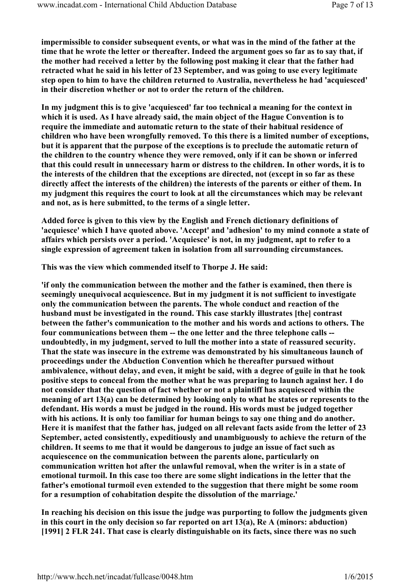impermissible to consider subsequent events, or what was in the mind of the father at the time that he wrote the letter or thereafter. Indeed the argument goes so far as to say that, if the mother had received a letter by the following post making it clear that the father had retracted what he said in his letter of 23 September, and was going to use every legitimate step open to him to have the children returned to Australia, nevertheless he had 'acquiesced' in their discretion whether or not to order the return of the children.

In my judgment this is to give 'acquiesced' far too technical a meaning for the context in which it is used. As I have already said, the main object of the Hague Convention is to require the immediate and automatic return to the state of their habitual residence of children who have been wrongfully removed. To this there is a limited number of exceptions, but it is apparent that the purpose of the exceptions is to preclude the automatic return of the children to the country whence they were removed, only if it can be shown or inferred that this could result in unnecessary harm or distress to the children. In other words, it is to the interests of the children that the exceptions are directed, not (except in so far as these directly affect the interests of the children) the interests of the parents or either of them. In my judgment this requires the court to look at all the circumstances which may be relevant and not, as is here submitted, to the terms of a single letter.

Added force is given to this view by the English and French dictionary definitions of 'acquiesce' which I have quoted above. 'Accept' and 'adhesion' to my mind connote a state of affairs which persists over a period. 'Acquiesce' is not, in my judgment, apt to refer to a single expression of agreement taken in isolation from all surrounding circumstances.

This was the view which commended itself to Thorpe J. He said:

'if only the communication between the mother and the father is examined, then there is seemingly unequivocal acquiescence. But in my judgment it is not sufficient to investigate only the communication between the parents. The whole conduct and reaction of the husband must be investigated in the round. This case starkly illustrates [the] contrast between the father's communication to the mother and his words and actions to others. The four communications between them -- the one letter and the three telephone calls - undoubtedly, in my judgment, served to lull the mother into a state of reassured security. That the state was insecure in the extreme was demonstrated by his simultaneous launch of proceedings under the Abduction Convention which he thereafter pursued without ambivalence, without delay, and even, it might be said, with a degree of guile in that he took positive steps to conceal from the mother what he was preparing to launch against her. I do not consider that the question of fact whether or not a plaintiff has acquiesced within the meaning of art 13(a) can be determined by looking only to what he states or represents to the defendant. His words a must be judged in the round. His words must be judged together with his actions. It is only too familiar for human beings to say one thing and do another. Here it is manifest that the father has, judged on all relevant facts aside from the letter of 23 September, acted consistently, expeditiously and unambiguously to achieve the return of the children. It seems to me that it would be dangerous to judge an issue of fact such as acquiescence on the communication between the parents alone, particularly on communication written hot after the unlawful removal, when the writer is in a state of emotional turmoil. In this case too there are some slight indications in the letter that the father's emotional turmoil even extended to the suggestion that there might be some room for a resumption of cohabitation despite the dissolution of the marriage.'

In reaching his decision on this issue the judge was purporting to follow the judgments given in this court in the only decision so far reported on art  $13(a)$ , Re A (minors: abduction) [1991] 2 FLR 241. That case is clearly distinguishable on its facts, since there was no such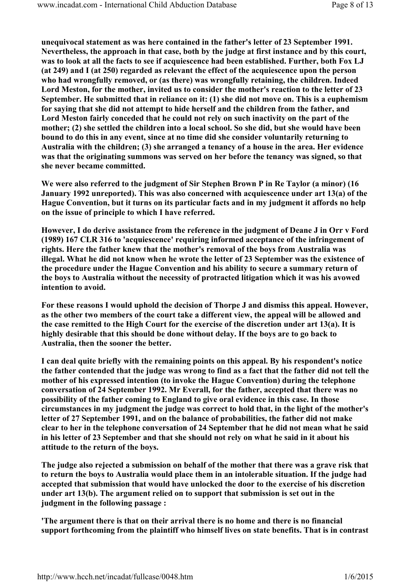unequivocal statement as was here contained in the father's letter of 23 September 1991. Nevertheless, the approach in that case, both by the judge at first instance and by this court, was to look at all the facts to see if acquiescence had been established. Further, both Fox LJ (at 249) and I (at 250) regarded as relevant the effect of the acquiescence upon the person who had wrongfully removed, or (as there) was wrongfully retaining, the children. Indeed Lord Meston, for the mother, invited us to consider the mother's reaction to the letter of 23 September. He submitted that in reliance on it: (1) she did not move on. This is a euphemism for saying that she did not attempt to hide herself and the children from the father, and Lord Meston fairly conceded that he could not rely on such inactivity on the part of the mother; (2) she settled the children into a local school. So she did, but she would have been bound to do this in any event, since at no time did she consider voluntarily returning to Australia with the children; (3) she arranged a tenancy of a house in the area. Her evidence was that the originating summons was served on her before the tenancy was signed, so that she never became committed.

We were also referred to the judgment of Sir Stephen Brown P in Re Taylor (a minor) (16 January 1992 unreported). This was also concerned with acquiescence under art 13(a) of the Hague Convention, but it turns on its particular facts and in my judgment it affords no help on the issue of principle to which I have referred.

However, I do derive assistance from the reference in the judgment of Deane J in Orr v Ford (1989) 167 CLR 316 to 'acquiescence' requiring informed acceptance of the infringement of rights. Here the father knew that the mother's removal of the boys from Australia was illegal. What he did not know when he wrote the letter of 23 September was the existence of the procedure under the Hague Convention and his ability to secure a summary return of the boys to Australia without the necessity of protracted litigation which it was his avowed intention to avoid.

For these reasons I would uphold the decision of Thorpe J and dismiss this appeal. However, as the other two members of the court take a different view, the appeal will be allowed and the case remitted to the High Court for the exercise of the discretion under art 13(a). It is highly desirable that this should be done without delay. If the boys are to go back to Australia, then the sooner the better.

I can deal quite briefly with the remaining points on this appeal. By his respondent's notice the father contended that the judge was wrong to find as a fact that the father did not tell the mother of his expressed intention (to invoke the Hague Convention) during the telephone conversation of 24 September 1992. Mr Everall, for the father, accepted that there was no possibility of the father coming to England to give oral evidence in this case. In those circumstances in my judgment the judge was correct to hold that, in the light of the mother's letter of 27 September 1991, and on the balance of probabilities, the father did not make clear to her in the telephone conversation of 24 September that he did not mean what he said in his letter of 23 September and that she should not rely on what he said in it about his attitude to the return of the boys.

The judge also rejected a submission on behalf of the mother that there was a grave risk that to return the boys to Australia would place them in an intolerable situation. If the judge had accepted that submission that would have unlocked the door to the exercise of his discretion under art 13(b). The argument relied on to support that submission is set out in the judgment in the following passage :

'The argument there is that on their arrival there is no home and there is no financial support forthcoming from the plaintiff who himself lives on state benefits. That is in contrast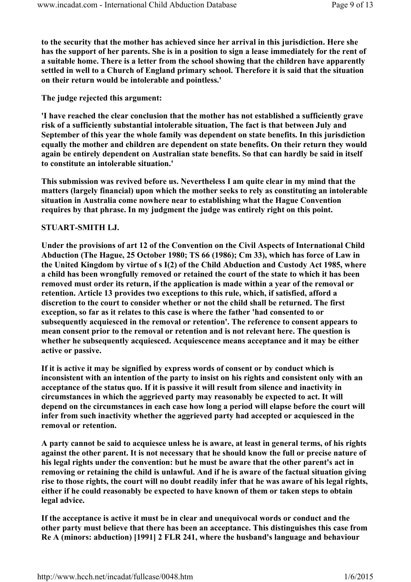to the security that the mother has achieved since her arrival in this jurisdiction. Here she has the support of her parents. She is in a position to sign a lease immediately for the rent of a suitable home. There is a letter from the school showing that the children have apparently settled in well to a Church of England primary school. Therefore it is said that the situation on their return would be intolerable and pointless.'

# The judge rejected this argument:

'I have reached the clear conclusion that the mother has not established a sufficiently grave risk of a sufficiently substantial intolerable situation, The fact is that between July and September of this year the whole family was dependent on state benefits. In this jurisdiction equally the mother and children are dependent on state benefits. On their return they would again be entirely dependent on Australian state benefits. So that can hardly be said in itself to constitute an intolerable situation.'

This submission was revived before us. Nevertheless I am quite clear in my mind that the matters (largely financial) upon which the mother seeks to rely as constituting an intolerable situation in Australia come nowhere near to establishing what the Hague Convention requires by that phrase. In my judgment the judge was entirely right on this point.

## STUART-SMITH LJ.

Under the provisions of art 12 of the Convention on the Civil Aspects of International Child Abduction (The Hague, 25 October 1980; TS 66 (1986); Cm 33), which has force of Law in the United Kingdom by virtue of s I(2) of the Child Abduction and Custody Act 1985, where a child has been wrongfully removed or retained the court of the state to which it has been removed must order its return, if the application is made within a year of the removal or retention. Article 13 provides two exceptions to this rule, which, if satisfied, afford a discretion to the court to consider whether or not the child shall be returned. The first exception, so far as it relates to this case is where the father 'had consented to or subsequently acquiesced in the removal or retention'. The reference to consent appears to mean consent prior to the removal or retention and is not relevant here. The question is whether he subsequently acquiesced. Acquiescence means acceptance and it may be either active or passive.

If it is active it may be signified by express words of consent or by conduct which is inconsistent with an intention of the party to insist on his rights and consistent only with an acceptance of the status quo. If it is passive it will result from silence and inactivity in circumstances in which the aggrieved party may reasonably be expected to act. It will depend on the circumstances in each case how long a period will elapse before the court will infer from such inactivity whether the aggrieved party had accepted or acquiesced in the removal or retention.

A party cannot be said to acquiesce unless he is aware, at least in general terms, of his rights against the other parent. It is not necessary that he should know the full or precise nature of his legal rights under the convention: but he must be aware that the other parent's act in removing or retaining the child is unlawful. And if he is aware of the factual situation giving rise to those rights, the court will no doubt readily infer that he was aware of his legal rights, either if he could reasonably be expected to have known of them or taken steps to obtain legal advice.

If the acceptance is active it must be in clear and unequivocal words or conduct and the other party must believe that there has been an acceptance. This distinguishes this case from Re A (minors: abduction) [1991] 2 FLR 241, where the husband's language and behaviour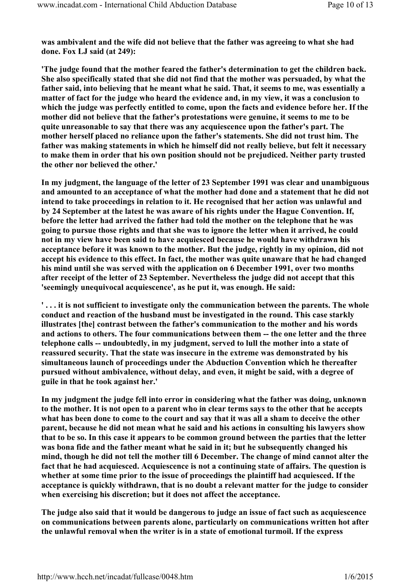was ambivalent and the wife did not believe that the father was agreeing to what she had done. Fox LJ said (at 249):

'The judge found that the mother feared the father's determination to get the children back. She also specifically stated that she did not find that the mother was persuaded, by what the father said, into believing that he meant what he said. That, it seems to me, was essentially a matter of fact for the judge who heard the evidence and, in my view, it was a conclusion to which the judge was perfectly entitled to come, upon the facts and evidence before her. If the mother did not believe that the father's protestations were genuine, it seems to me to be quite unreasonable to say that there was any acquiescence upon the father's part. The mother herself placed no reliance upon the father's statements. She did not trust him. The father was making statements in which he himself did not really believe, but felt it necessary to make them in order that his own position should not be prejudiced. Neither party trusted the other nor believed the other.'

In my judgment, the language of the letter of 23 September 1991 was clear and unambiguous and amounted to an acceptance of what the mother had done and a statement that he did not intend to take proceedings in relation to it. He recognised that her action was unlawful and by 24 September at the latest he was aware of his rights under the Hague Convention. If, before the letter had arrived the father had told the mother on the telephone that he was going to pursue those rights and that she was to ignore the letter when it arrived, he could not in my view have been said to have acquiesced because he would have withdrawn his acceptance before it was known to the mother. But the judge, rightly in my opinion, did not accept his evidence to this effect. In fact, the mother was quite unaware that he had changed his mind until she was served with the application on 6 December 1991, over two months after receipt of the letter of 23 September. Nevertheless the judge did not accept that this 'seemingly unequivocal acquiescence', as he put it, was enough. He said:

' . . . it is not sufficient to investigate only the communication between the parents. The whole conduct and reaction of the husband must be investigated in the round. This case starkly illustrates [the] contrast between the father's communication to the mother and his words and actions to others. The four communications between them -- the one letter and the three telephone calls -- undoubtedly, in my judgment, served to lull the mother into a state of reassured security. That the state was insecure in the extreme was demonstrated by his simultaneous launch of proceedings under the Abduction Convention which he thereafter pursued without ambivalence, without delay, and even, it might be said, with a degree of guile in that he took against her.'

In my judgment the judge fell into error in considering what the father was doing, unknown to the mother. It is not open to a parent who in clear terms says to the other that he accepts what has been done to come to the court and say that it was all a sham to deceive the other parent, because he did not mean what he said and his actions in consulting his lawyers show that to be so. In this case it appears to be common ground between the parties that the letter was bona fide and the father meant what he said in it; but he subsequently changed his mind, though he did not tell the mother till 6 December. The change of mind cannot alter the fact that he had acquiesced. Acquiescence is not a continuing state of affairs. The question is whether at some time prior to the issue of proceedings the plaintiff had acquiesced. If the acceptance is quickly withdrawn, that is no doubt a relevant matter for the judge to consider when exercising his discretion; but it does not affect the acceptance.

The judge also said that it would be dangerous to judge an issue of fact such as acquiescence on communications between parents alone, particularly on communications written hot after the unlawful removal when the writer is in a state of emotional turmoil. If the express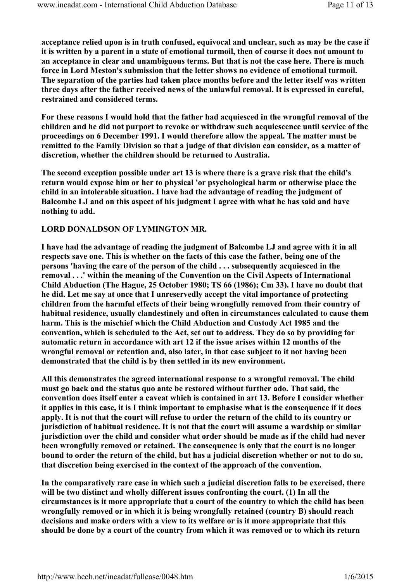acceptance relied upon is in truth confused, equivocal and unclear, such as may be the case if it is written by a parent in a state of emotional turmoil, then of course it does not amount to an acceptance in clear and unambiguous terms. But that is not the case here. There is much force in Lord Meston's submission that the letter shows no evidence of emotional turmoil. The separation of the parties had taken place months before and the letter itself was written three days after the father received news of the unlawful removal. It is expressed in careful, restrained and considered terms.

For these reasons I would hold that the father had acquiesced in the wrongful removal of the children and he did not purport to revoke or withdraw such acquiescence until service of the proceedings on 6 December 1991. I would therefore allow the appeal. The matter must be remitted to the Family Division so that a judge of that division can consider, as a matter of discretion, whether the children should be returned to Australia.

The second exception possible under art 13 is where there is a grave risk that the child's return would expose him or her to physical 'or psychological harm or otherwise place the child in an intolerable situation. I have had the advantage of reading the judgment of Balcombe LJ and on this aspect of his judgment I agree with what he has said and have nothing to add.

# LORD DONALDSON OF LYMINGTON MR.

I have had the advantage of reading the judgment of Balcombe LJ and agree with it in all respects save one. This is whether on the facts of this case the father, being one of the persons 'having the care of the person of the child . . . subsequently acquiesced in the removal . . .' within the meaning of the Convention on the Civil Aspects of International Child Abduction (The Hague, 25 October 1980; TS 66 (1986); Cm 33). I have no doubt that he did. Let me say at once that I unreservedly accept the vital importance of protecting children from the harmful effects of their being wrongfully removed from their country of habitual residence, usually clandestinely and often in circumstances calculated to cause them harm. This is the mischief which the Child Abduction and Custody Act 1985 and the convention, which is scheduled to the Act, set out to address. They do so by providing for automatic return in accordance with art 12 if the issue arises within 12 months of the wrongful removal or retention and, also later, in that case subject to it not having been demonstrated that the child is by then settled in its new environment.

All this demonstrates the agreed international response to a wrongful removal. The child must go back and the status quo ante be restored without further ado. That said, the convention does itself enter a caveat which is contained in art 13. Before I consider whether it applies in this case, it is I think important to emphasise what is the consequence if it does apply. It is not that the court will refuse to order the return of the child to its country or jurisdiction of habitual residence. It is not that the court will assume a wardship or similar jurisdiction over the child and consider what order should be made as if the child had never been wrongfully removed or retained. The consequence is only that the court is no longer bound to order the return of the child, but has a judicial discretion whether or not to do so, that discretion being exercised in the context of the approach of the convention.

In the comparatively rare case in which such a judicial discretion falls to be exercised, there will be two distinct and wholly different issues confronting the court. (1) In all the circumstances is it more appropriate that a court of the country to which the child has been wrongfully removed or in which it is being wrongfully retained (country B) should reach decisions and make orders with a view to its welfare or is it more appropriate that this should be done by a court of the country from which it was removed or to which its return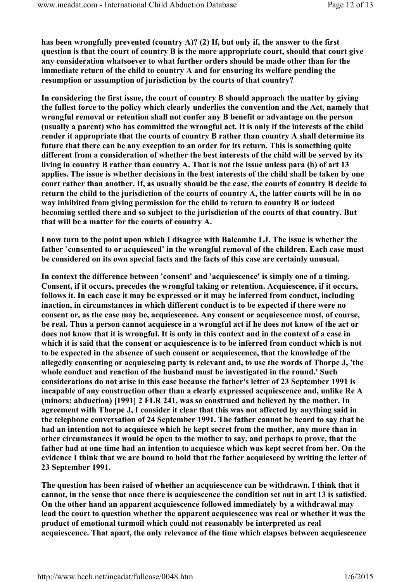has been wrongfully prevented (country A)? (2) If, but only if, the answer to the first question is that the court of country B is the more appropriate court, should that court give any consideration whatsoever to what further orders should be made other than for the immediate return of the child to country A and for ensuring its welfare pending the resumption or assumption of jurisdiction by the courts of that country?

In considering the first issue, the court of country B should approach the matter by giving the fullest force to the policy which clearly underlies the convention and the Act, namely that wrongful removal or retention shall not confer any B benefit or advantage on the person (usually a parent) who has committed the wrongful act. It is only if the interests of the child render it appropriate that the courts of country B rather than country A shall determine its future that there can be any exception to an order for its return. This is something quite different from a consideration of whether the best interests of the child will be served by its living in country B rather than country A. That is not the issue unless para (b) of art 13 applies. The issue is whether decisions in the best interests of the child shall be taken by one court rather than another. If, as usually should be the case, the courts of country B decide to return the child to the jurisdiction of the courts of country A, the latter courts will be in no way inhibited from giving permission for the child to return to country B or indeed becoming settled there and so subject to the jurisdiction of the courts of that country. But that will be a matter for the courts of country A.

I now turn to the point upon which I disagree with Balcombe LJ. The issue is whether the father `consented to or acquiesced' in the wrongful removal of the children. Each case must be considered on its own special facts and the facts of this case are certainly unusual.

In context the difference between 'consent' and 'acquiescence' is simply one of a timing. Consent, if it occurs, precedes the wrongful taking or retention. Acquiescence, if it occurs, follows it. In each case it may be expressed or it may be inferred from conduct, including inaction, in circumstances in which different conduct is to be expected if there were no consent or, as the case may be, acquiescence. Any consent or acquiescence must, of course, be real. Thus a person cannot acquiesce in a wrongful act if he does not know of the act or does not know that it is wrongful. It is only in this context and in the context of a case in which it is said that the consent or acquiescence is to be inferred from conduct which is not to be expected in the absence of such consent or acquiescence, that the knowledge of the allegedly consenting or acquiescing party is relevant and, to use the words of Thorpe J, 'the whole conduct and reaction of the husband must be investigated in the round.' Such considerations do not arise in this case because the father's letter of 23 September 1991 is incapable of any construction other than a clearly expressed acquiescence and, unlike Re A (minors: abduction) [1991] 2 FLR 241, was so construed and believed by the mother. In agreement with Thorpe J, I consider it clear that this was not affected by anything said in the telephone conversation of 24 September 1991. The father cannot be heard to say that he had an intention not to acquiesce which he kept secret from the mother, any more than in other circumstances it would be open to the mother to say, and perhaps to prove, that the father had at one time had an intention to acquiesce which was kept secret from her. On the evidence I think that we are bound to hold that the father acquiesced by writing the letter of 23 September 1991.

The question has been raised of whether an acquiescence can be withdrawn. I think that it cannot, in the sense that once there is acquiescence the condition set out in art 13 is satisfied. On the other hand an apparent acquiescence followed immediately by a withdrawal may lead the court to question whether the apparent acquiescence was real or whether it was the product of emotional turmoil which could not reasonably be interpreted as real acquiescence. That apart, the only relevance of the time which elapses between acquiescence